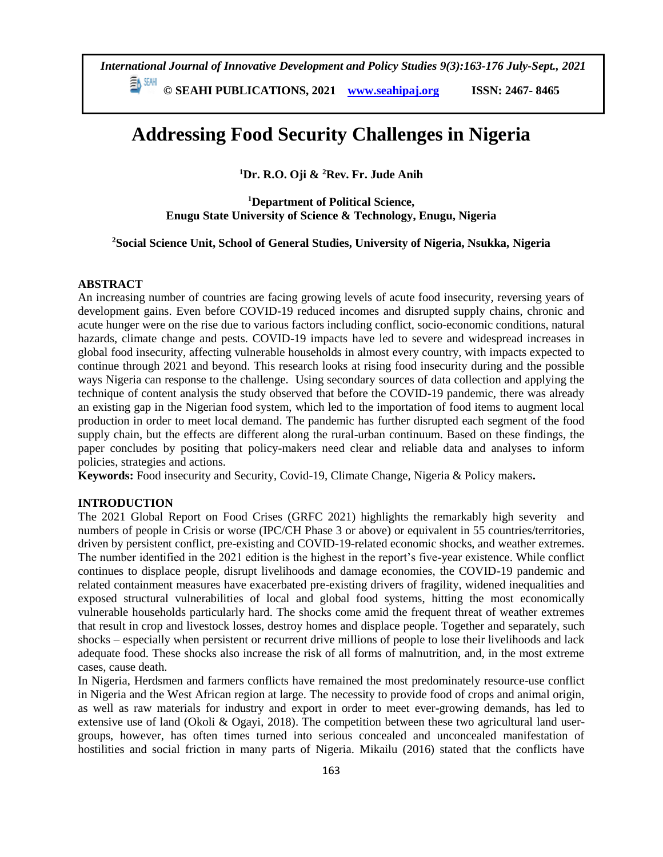**© SEAHI PUBLICATIONS, 2021 [www.seahipaj.org](http://www.seahipaj.org/) ISSN: 2467- 8465**

# **Addressing Food Security Challenges in Nigeria**

**<sup>1</sup>Dr. R.O. Oji & <sup>2</sup>Rev. Fr. Jude Anih**

**<sup>1</sup>Department of Political Science, Enugu State University of Science & Technology, Enugu, Nigeria**

**<sup>2</sup>Social Science Unit, School of General Studies, University of Nigeria, Nsukka, Nigeria**

# **ABSTRACT**

An increasing number of countries are facing growing levels of acute food insecurity, reversing years of development gains. Even before COVID-19 reduced incomes and disrupted supply chains, chronic and acute hunger were on the rise due to various factors including conflict, socio-economic conditions, natural hazards, climate change and pests. COVID-19 impacts have led to severe and widespread increases in global food insecurity, affecting vulnerable households in almost every country, with impacts expected to continue through 2021 and beyond. This research looks at rising food insecurity during and the possible ways Nigeria can response to the challenge. Using secondary sources of data collection and applying the technique of content analysis the study observed that before the COVID-19 pandemic, there was already an existing gap in the Nigerian food system, which led to the importation of food items to augment local production in order to meet local demand. The pandemic has further disrupted each segment of the food supply chain, but the effects are different along the rural-urban continuum. Based on these findings, the paper concludes by positing that policy-makers need clear and reliable data and analyses to inform policies, strategies and actions.

**Keywords:** Food insecurity and Security, Covid-19, Climate Change, Nigeria & Policy makers**.** 

# **INTRODUCTION**

The 2021 Global Report on Food Crises (GRFC 2021) highlights the remarkably high severity and numbers of people in Crisis or worse (IPC/CH Phase 3 or above) or equivalent in 55 countries/territories, driven by persistent conflict, pre-existing and COVID-19-related economic shocks, and weather extremes. The number identified in the 2021 edition is the highest in the report's five-year existence. While conflict continues to displace people, disrupt livelihoods and damage economies, the COVID-19 pandemic and related containment measures have exacerbated pre-existing drivers of fragility, widened inequalities and exposed structural vulnerabilities of local and global food systems, hitting the most economically vulnerable households particularly hard. The shocks come amid the frequent threat of weather extremes that result in crop and livestock losses, destroy homes and displace people. Together and separately, such shocks – especially when persistent or recurrent drive millions of people to lose their livelihoods and lack adequate food. These shocks also increase the risk of all forms of malnutrition, and, in the most extreme cases, cause death.

In Nigeria, Herdsmen and farmers conflicts have remained the most predominately resource-use conflict in Nigeria and the West African region at large. The necessity to provide food of crops and animal origin, as well as raw materials for industry and export in order to meet ever-growing demands, has led to extensive use of land (Okoli & Ogayi, 2018). The competition between these two agricultural land usergroups, however, has often times turned into serious concealed and unconcealed manifestation of hostilities and social friction in many parts of Nigeria. Mikailu (2016) stated that the conflicts have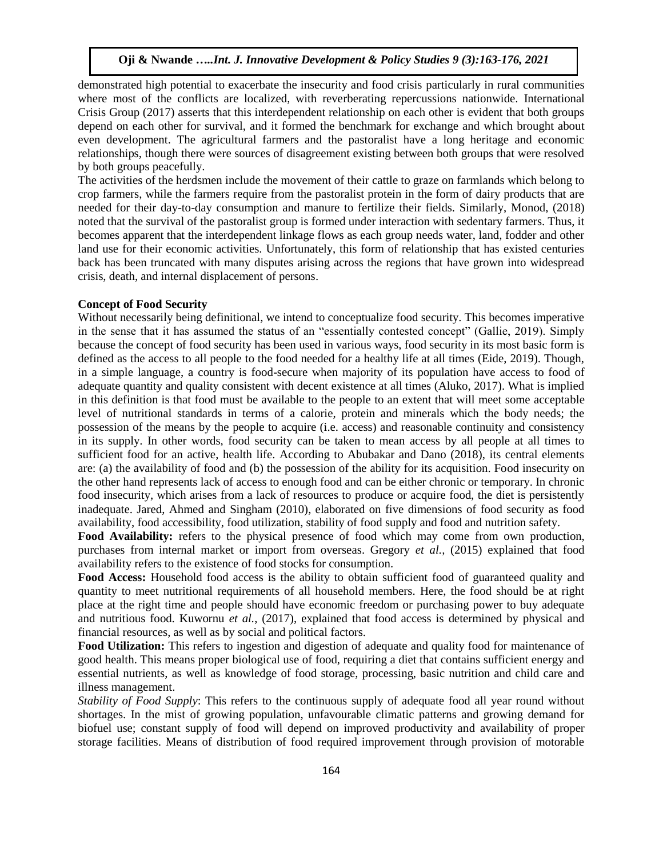demonstrated high potential to exacerbate the insecurity and food crisis particularly in rural communities where most of the conflicts are localized, with reverberating repercussions nationwide. International Crisis Group (2017) asserts that this interdependent relationship on each other is evident that both groups depend on each other for survival, and it formed the benchmark for exchange and which brought about even development. The agricultural farmers and the pastoralist have a long heritage and economic relationships, though there were sources of disagreement existing between both groups that were resolved by both groups peacefully.

The activities of the herdsmen include the movement of their cattle to graze on farmlands which belong to crop farmers, while the farmers require from the pastoralist protein in the form of dairy products that are needed for their day-to-day consumption and manure to fertilize their fields. Similarly, Monod, (2018) noted that the survival of the pastoralist group is formed under interaction with sedentary farmers. Thus, it becomes apparent that the interdependent linkage flows as each group needs water, land, fodder and other land use for their economic activities. Unfortunately, this form of relationship that has existed centuries back has been truncated with many disputes arising across the regions that have grown into widespread crisis, death, and internal displacement of persons.

# **Concept of Food Security**

Without necessarily being definitional, we intend to conceptualize food security. This becomes imperative in the sense that it has assumed the status of an "essentially contested concept" (Gallie, 2019). Simply because the concept of food security has been used in various ways, food security in its most basic form is defined as the access to all people to the food needed for a healthy life at all times (Eide, 2019). Though, in a simple language, a country is food-secure when majority of its population have access to food of adequate quantity and quality consistent with decent existence at all times (Aluko, 2017). What is implied in this definition is that food must be available to the people to an extent that will meet some acceptable level of nutritional standards in terms of a calorie, protein and minerals which the body needs; the possession of the means by the people to acquire (i.e. access) and reasonable continuity and consistency in its supply. In other words, food security can be taken to mean access by all people at all times to sufficient food for an active, health life. According to Abubakar and Dano (2018), its central elements are: (a) the availability of food and (b) the possession of the ability for its acquisition. Food insecurity on the other hand represents lack of access to enough food and can be either chronic or temporary. In chronic food insecurity, which arises from a lack of resources to produce or acquire food, the diet is persistently inadequate. Jared, Ahmed and Singham (2010), elaborated on five dimensions of food security as food availability, food accessibility, food utilization, stability of food supply and food and nutrition safety.

**Food Availability:** refers to the physical presence of food which may come from own production, purchases from internal market or import from overseas. Gregory *et al.,* (2015) explained that food availability refers to the existence of food stocks for consumption.

**Food Access:** Household food access is the ability to obtain sufficient food of guaranteed quality and quantity to meet nutritional requirements of all household members. Here, the food should be at right place at the right time and people should have economic freedom or purchasing power to buy adequate and nutritious food. Kuwornu *et al.*, (2017), explained that food access is determined by physical and financial resources, as well as by social and political factors.

**Food Utilization:** This refers to ingestion and digestion of adequate and quality food for maintenance of good health. This means proper biological use of food, requiring a diet that contains sufficient energy and essential nutrients, as well as knowledge of food storage, processing, basic nutrition and child care and illness management.

*Stability of Food Supply*: This refers to the continuous supply of adequate food all year round without shortages. In the mist of growing population, unfavourable climatic patterns and growing demand for biofuel use; constant supply of food will depend on improved productivity and availability of proper storage facilities. Means of distribution of food required improvement through provision of motorable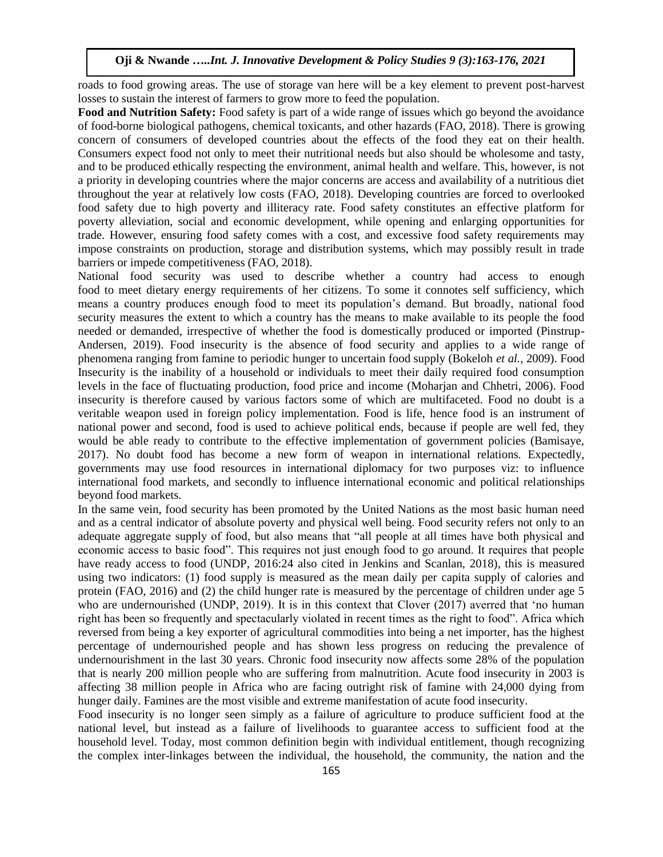roads to food growing areas. The use of storage van here will be a key element to prevent post-harvest losses to sustain the interest of farmers to grow more to feed the population.

**Food and Nutrition Safety:** Food safety is part of a wide range of issues which go beyond the avoidance of food-borne biological pathogens, chemical toxicants, and other hazards (FAO, 2018). There is growing concern of consumers of developed countries about the effects of the food they eat on their health. Consumers expect food not only to meet their nutritional needs but also should be wholesome and tasty, and to be produced ethically respecting the environment, animal health and welfare. This, however, is not a priority in developing countries where the major concerns are access and availability of a nutritious diet throughout the year at relatively low costs (FAO, 2018). Developing countries are forced to overlooked food safety due to high poverty and illiteracy rate. Food safety constitutes an effective platform for poverty alleviation, social and economic development, while opening and enlarging opportunities for trade. However, ensuring food safety comes with a cost, and excessive food safety requirements may impose constraints on production, storage and distribution systems, which may possibly result in trade barriers or impede competitiveness (FAO, 2018).

National food security was used to describe whether a country had access to enough food to meet dietary energy requirements of her citizens. To some it connotes self sufficiency, which means a country produces enough food to meet its population's demand. But broadly, national food security measures the extent to which a country has the means to make available to its people the food needed or demanded, irrespective of whether the food is domestically produced or imported (Pinstrup-Andersen, 2019). Food insecurity is the absence of food security and applies to a wide range of phenomena ranging from famine to periodic hunger to uncertain food supply (Bokeloh *et al.,* 2009). Food Insecurity is the inability of a household or individuals to meet their daily required food consumption levels in the face of fluctuating production, food price and income (Moharjan and Chhetri, 2006). Food insecurity is therefore caused by various factors some of which are multifaceted. Food no doubt is a veritable weapon used in foreign policy implementation. Food is life, hence food is an instrument of national power and second, food is used to achieve political ends, because if people are well fed, they would be able ready to contribute to the effective implementation of government policies (Bamisaye, 2017). No doubt food has become a new form of weapon in international relations. Expectedly, governments may use food resources in international diplomacy for two purposes viz: to influence international food markets, and secondly to influence international economic and political relationships beyond food markets.

In the same vein, food security has been promoted by the United Nations as the most basic human need and as a central indicator of absolute poverty and physical well being. Food security refers not only to an adequate aggregate supply of food, but also means that "all people at all times have both physical and economic access to basic food". This requires not just enough food to go around. It requires that people have ready access to food (UNDP, 2016:24 also cited in Jenkins and Scanlan, 2018), this is measured using two indicators: (1) food supply is measured as the mean daily per capita supply of calories and protein (FAO, 2016) and (2) the child hunger rate is measured by the percentage of children under age 5 who are undernourished (UNDP, 2019). It is in this context that Clover (2017) averred that 'no human right has been so frequently and spectacularly violated in recent times as the right to food". Africa which reversed from being a key exporter of agricultural commodities into being a net importer, has the highest percentage of undernourished people and has shown less progress on reducing the prevalence of undernourishment in the last 30 years. Chronic food insecurity now affects some 28% of the population that is nearly 200 million people who are suffering from malnutrition. Acute food insecurity in 2003 is affecting 38 million people in Africa who are facing outright risk of famine with 24,000 dying from hunger daily. Famines are the most visible and extreme manifestation of acute food insecurity.

Food insecurity is no longer seen simply as a failure of agriculture to produce sufficient food at the national level, but instead as a failure of livelihoods to guarantee access to sufficient food at the household level. Today, most common definition begin with individual entitlement, though recognizing the complex inter-linkages between the individual, the household, the community, the nation and the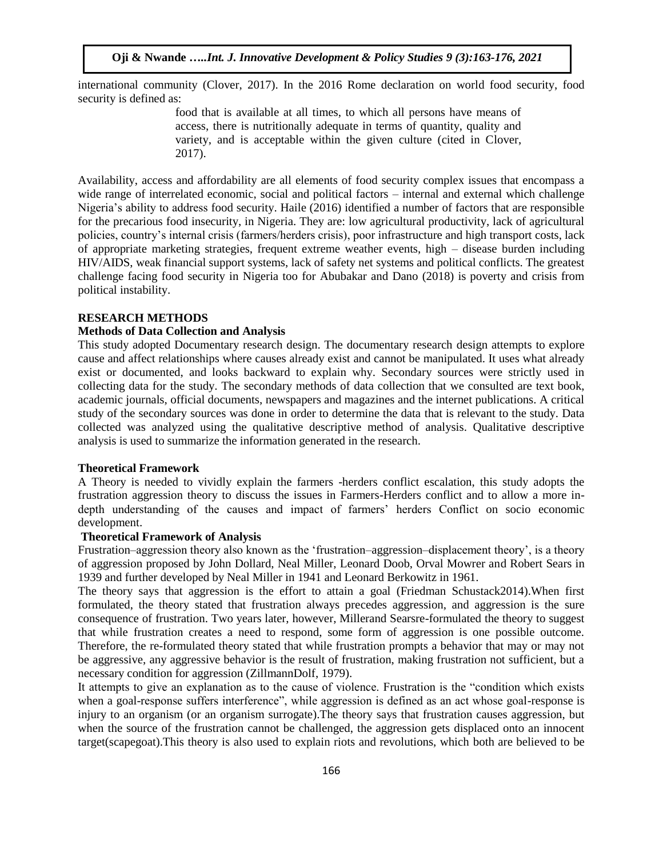international community (Clover, 2017). In the 2016 Rome declaration on world food security, food security is defined as:

> food that is available at all times, to which all persons have means of access, there is nutritionally adequate in terms of quantity, quality and variety, and is acceptable within the given culture (cited in Clover, 2017).

Availability, access and affordability are all elements of food security complex issues that encompass a wide range of interrelated economic, social and political factors – internal and external which challenge Nigeria's ability to address food security. Haile (2016) identified a number of factors that are responsible for the precarious food insecurity, in Nigeria. They are: low agricultural productivity, lack of agricultural policies, country's internal crisis (farmers/herders crisis), poor infrastructure and high transport costs, lack of appropriate marketing strategies, frequent extreme weather events, high – disease burden including HIV/AIDS, weak financial support systems, lack of safety net systems and political conflicts. The greatest challenge facing food security in Nigeria too for Abubakar and Dano (2018) is poverty and crisis from political instability.

## **RESEARCH METHODS**

# **Methods of Data Collection and Analysis**

This study adopted Documentary research design. The documentary research design attempts to explore cause and affect relationships where causes already exist and cannot be manipulated. It uses what already exist or documented, and looks backward to explain why. Secondary sources were strictly used in collecting data for the study. The secondary methods of data collection that we consulted are text book, academic journals, official documents, newspapers and magazines and the internet publications. A critical study of the secondary sources was done in order to determine the data that is relevant to the study. Data collected was analyzed using the qualitative descriptive method of analysis. Qualitative descriptive analysis is used to summarize the information generated in the research.

#### **Theoretical Framework**

A Theory is needed to vividly explain the farmers -herders conflict escalation, this study adopts the frustration aggression theory to discuss the issues in Farmers-Herders conflict and to allow a more indepth understanding of the causes and impact of farmers' herders Conflict on socio economic development.

## **Theoretical Framework of Analysis**

Frustration–aggression theory also known as the 'frustration–aggression–displacement theory', is a theory of aggression proposed by John Dollard, Neal Miller, Leonard Doob, Orval Mowrer and Robert Sears in 1939 and further developed by Neal Miller in 1941 and Leonard Berkowitz in 1961.

The theory says that aggression is the effort to attain a goal (Friedman Schustack2014).When first formulated, the theory stated that frustration always precedes aggression, and aggression is the sure consequence of frustration. Two years later, however, Millerand Searsre-formulated the theory to suggest that while frustration creates a need to respond, some form of aggression is one possible outcome. Therefore, the re-formulated theory stated that while frustration prompts a behavior that may or may not be aggressive, any aggressive behavior is the result of frustration, making frustration not sufficient, but a necessary condition for aggression (ZillmannDolf, 1979).

It attempts to give an explanation as to the cause of violence. Frustration is the "condition which exists when a goal-response suffers interference", while aggression is defined as an act whose goal-response is injury to an organism (or an organism surrogate).The theory says that frustration causes aggression, but when the source of the frustration cannot be challenged, the aggression gets displaced onto an innocent target(scapegoat).This theory is also used to explain riots and revolutions, which both are believed to be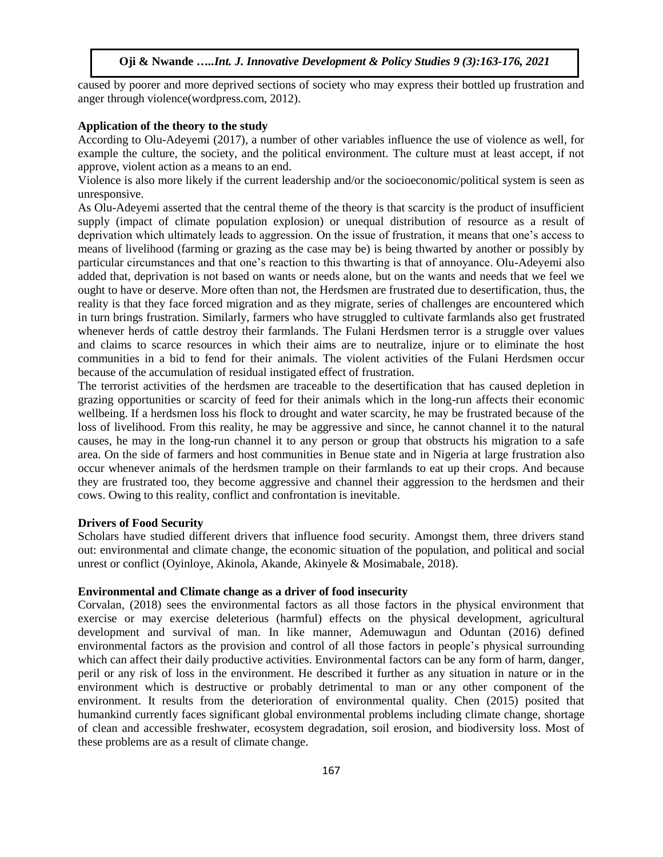caused by poorer and more deprived sections of society who may express their bottled up frustration and anger through violence(wordpress.com, 2012).

## **Application of the theory to the study**

According to Olu-Adeyemi (2017), a number of other variables influence the use of violence as well, for example the culture, the society, and the political environment. The culture must at least accept, if not approve, violent action as a means to an end.

Violence is also more likely if the current leadership and/or the socioeconomic/political system is seen as unresponsive.

As Olu-Adeyemi asserted that the central theme of the theory is that scarcity is the product of insufficient supply (impact of climate population explosion) or unequal distribution of resource as a result of deprivation which ultimately leads to aggression. On the issue of frustration, it means that one's access to means of livelihood (farming or grazing as the case may be) is being thwarted by another or possibly by particular circumstances and that one's reaction to this thwarting is that of annoyance. Olu-Adeyemi also added that, deprivation is not based on wants or needs alone, but on the wants and needs that we feel we ought to have or deserve. More often than not, the Herdsmen are frustrated due to desertification, thus, the reality is that they face forced migration and as they migrate, series of challenges are encountered which in turn brings frustration. Similarly, farmers who have struggled to cultivate farmlands also get frustrated whenever herds of cattle destroy their farmlands. The Fulani Herdsmen terror is a struggle over values and claims to scarce resources in which their aims are to neutralize, injure or to eliminate the host communities in a bid to fend for their animals. The violent activities of the Fulani Herdsmen occur because of the accumulation of residual instigated effect of frustration.

The terrorist activities of the herdsmen are traceable to the desertification that has caused depletion in grazing opportunities or scarcity of feed for their animals which in the long-run affects their economic wellbeing. If a herdsmen loss his flock to drought and water scarcity, he may be frustrated because of the loss of livelihood. From this reality, he may be aggressive and since, he cannot channel it to the natural causes, he may in the long-run channel it to any person or group that obstructs his migration to a safe area. On the side of farmers and host communities in Benue state and in Nigeria at large frustration also occur whenever animals of the herdsmen trample on their farmlands to eat up their crops. And because they are frustrated too, they become aggressive and channel their aggression to the herdsmen and their cows. Owing to this reality, conflict and confrontation is inevitable.

## **Drivers of Food Security**

Scholars have studied different drivers that influence food security. Amongst them, three drivers stand out: environmental and climate change, the economic situation of the population, and political and social unrest or conflict (Oyinloye, Akinola, Akande, Akinyele & Mosimabale, 2018).

#### **Environmental and Climate change as a driver of food insecurity**

Corvalan, (2018) sees the environmental factors as all those factors in the physical environment that exercise or may exercise deleterious (harmful) effects on the physical development, agricultural development and survival of man. In like manner, Ademuwagun and Oduntan (2016) defined environmental factors as the provision and control of all those factors in people's physical surrounding which can affect their daily productive activities. Environmental factors can be any form of harm, danger, peril or any risk of loss in the environment. He described it further as any situation in nature or in the environment which is destructive or probably detrimental to man or any other component of the environment. It results from the deterioration of environmental quality. Chen (2015) posited that humankind currently faces significant global environmental problems including climate change, shortage of clean and accessible freshwater, ecosystem degradation, soil erosion, and biodiversity loss. Most of these problems are as a result of climate change.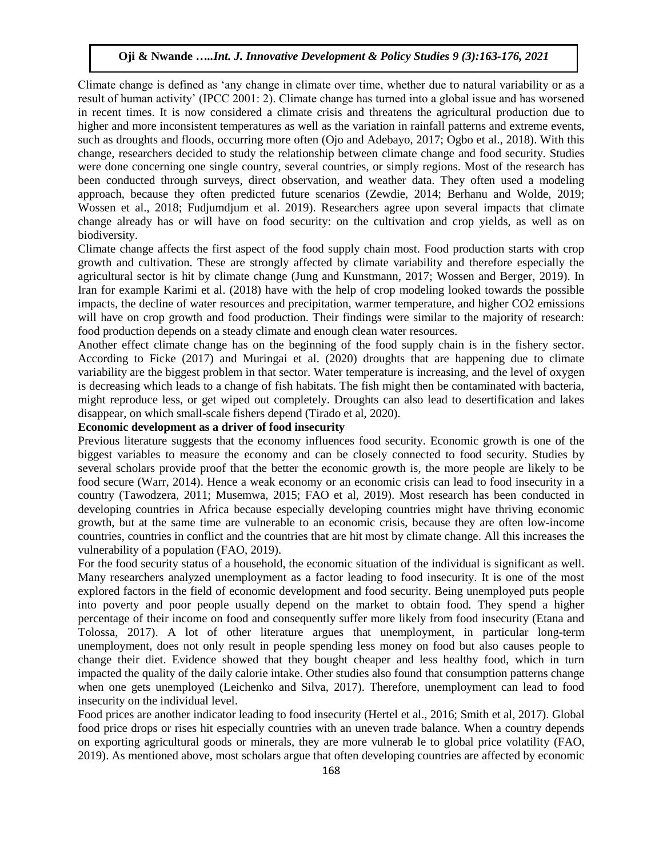Climate change is defined as 'any change in climate over time, whether due to natural variability or as a result of human activity' (IPCC 2001: 2). Climate change has turned into a global issue and has worsened in recent times. It is now considered a climate crisis and threatens the agricultural production due to higher and more inconsistent temperatures as well as the variation in rainfall patterns and extreme events, such as droughts and floods, occurring more often (Ojo and Adebayo, 2017; Ogbo et al., 2018). With this change, researchers decided to study the relationship between climate change and food security. Studies were done concerning one single country, several countries, or simply regions. Most of the research has been conducted through surveys, direct observation, and weather data. They often used a modeling approach, because they often predicted future scenarios (Zewdie, 2014; Berhanu and Wolde, 2019; Wossen et al., 2018; Fudjumdjum et al. 2019). Researchers agree upon several impacts that climate change already has or will have on food security: on the cultivation and crop yields, as well as on biodiversity.

Climate change affects the first aspect of the food supply chain most. Food production starts with crop growth and cultivation. These are strongly affected by climate variability and therefore especially the agricultural sector is hit by climate change (Jung and Kunstmann, 2017; Wossen and Berger, 2019). In Iran for example Karimi et al. (2018) have with the help of crop modeling looked towards the possible impacts, the decline of water resources and precipitation, warmer temperature, and higher CO2 emissions will have on crop growth and food production. Their findings were similar to the majority of research: food production depends on a steady climate and enough clean water resources.

Another effect climate change has on the beginning of the food supply chain is in the fishery sector. According to Ficke (2017) and Muringai et al. (2020) droughts that are happening due to climate variability are the biggest problem in that sector. Water temperature is increasing, and the level of oxygen is decreasing which leads to a change of fish habitats. The fish might then be contaminated with bacteria, might reproduce less, or get wiped out completely. Droughts can also lead to desertification and lakes disappear, on which small-scale fishers depend (Tirado et al, 2020).

## **Economic development as a driver of food insecurity**

Previous literature suggests that the economy influences food security. Economic growth is one of the biggest variables to measure the economy and can be closely connected to food security. Studies by several scholars provide proof that the better the economic growth is, the more people are likely to be food secure (Warr, 2014). Hence a weak economy or an economic crisis can lead to food insecurity in a country (Tawodzera, 2011; Musemwa, 2015; FAO et al, 2019). Most research has been conducted in developing countries in Africa because especially developing countries might have thriving economic growth, but at the same time are vulnerable to an economic crisis, because they are often low-income countries, countries in conflict and the countries that are hit most by climate change. All this increases the vulnerability of a population (FAO, 2019).

For the food security status of a household, the economic situation of the individual is significant as well. Many researchers analyzed unemployment as a factor leading to food insecurity. It is one of the most explored factors in the field of economic development and food security. Being unemployed puts people into poverty and poor people usually depend on the market to obtain food. They spend a higher percentage of their income on food and consequently suffer more likely from food insecurity (Etana and Tolossa, 2017). A lot of other literature argues that unemployment, in particular long-term unemployment, does not only result in people spending less money on food but also causes people to change their diet. Evidence showed that they bought cheaper and less healthy food, which in turn impacted the quality of the daily calorie intake. Other studies also found that consumption patterns change when one gets unemployed (Leichenko and Silva, 2017). Therefore, unemployment can lead to food insecurity on the individual level.

Food prices are another indicator leading to food insecurity (Hertel et al., 2016; Smith et al, 2017). Global food price drops or rises hit especially countries with an uneven trade balance. When a country depends on exporting agricultural goods or minerals, they are more vulnerab le to global price volatility (FAO, 2019). As mentioned above, most scholars argue that often developing countries are affected by economic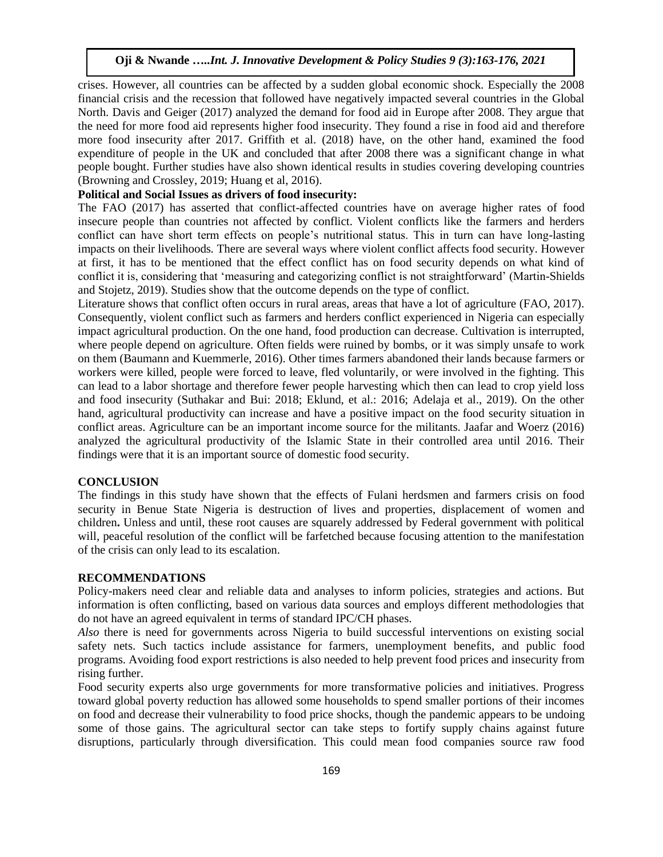crises. However, all countries can be affected by a sudden global economic shock. Especially the 2008 financial crisis and the recession that followed have negatively impacted several countries in the Global North. Davis and Geiger (2017) analyzed the demand for food aid in Europe after 2008. They argue that the need for more food aid represents higher food insecurity. They found a rise in food aid and therefore more food insecurity after 2017. Griffith et al. (2018) have, on the other hand, examined the food expenditure of people in the UK and concluded that after 2008 there was a significant change in what people bought. Further studies have also shown identical results in studies covering developing countries (Browning and Crossley, 2019; Huang et al, 2016).

# **Political and Social Issues as drivers of food insecurity:**

The FAO (2017) has asserted that conflict-affected countries have on average higher rates of food insecure people than countries not affected by conflict. Violent conflicts like the farmers and herders conflict can have short term effects on people's nutritional status. This in turn can have long-lasting impacts on their livelihoods. There are several ways where violent conflict affects food security. However at first, it has to be mentioned that the effect conflict has on food security depends on what kind of conflict it is, considering that 'measuring and categorizing conflict is not straightforward' (Martin-Shields and Stojetz, 2019). Studies show that the outcome depends on the type of conflict.

Literature shows that conflict often occurs in rural areas, areas that have a lot of agriculture (FAO, 2017). Consequently, violent conflict such as farmers and herders conflict experienced in Nigeria can especially impact agricultural production. On the one hand, food production can decrease. Cultivation is interrupted, where people depend on agriculture. Often fields were ruined by bombs, or it was simply unsafe to work on them (Baumann and Kuemmerle, 2016). Other times farmers abandoned their lands because farmers or workers were killed, people were forced to leave, fled voluntarily, or were involved in the fighting. This can lead to a labor shortage and therefore fewer people harvesting which then can lead to crop yield loss and food insecurity (Suthakar and Bui: 2018; Eklund, et al.: 2016; Adelaja et al., 2019). On the other hand, agricultural productivity can increase and have a positive impact on the food security situation in conflict areas. Agriculture can be an important income source for the militants. Jaafar and Woerz (2016) analyzed the agricultural productivity of the Islamic State in their controlled area until 2016. Their findings were that it is an important source of domestic food security.

## **CONCLUSION**

The findings in this study have shown that the effects of Fulani herdsmen and farmers crisis on food security in Benue State Nigeria is destruction of lives and properties, displacement of women and children**.** Unless and until, these root causes are squarely addressed by Federal government with political will, peaceful resolution of the conflict will be farfetched because focusing attention to the manifestation of the crisis can only lead to its escalation.

## **RECOMMENDATIONS**

Policy-makers need clear and reliable data and analyses to inform policies, strategies and actions. But information is often conflicting, based on various data sources and employs different methodologies that do not have an agreed equivalent in terms of standard IPC/CH phases.

*Also* there is need for governments across Nigeria to build successful interventions on existing social safety nets. Such tactics include assistance for farmers, unemployment benefits, and public food programs. Avoiding food export restrictions is also needed to help prevent food prices and insecurity from rising further.

Food security experts also urge governments for more transformative policies and initiatives. Progress toward global poverty reduction has allowed some households to spend smaller portions of their incomes on food and decrease their vulnerability to food price shocks, though the pandemic appears to be [undoing](https://www.ft.com/content/f45afb9a-aaa3-4434-8d3b-b56e24f0cb37)  [some of those gains.](https://www.ft.com/content/f45afb9a-aaa3-4434-8d3b-b56e24f0cb37) The agricultural sector can take steps to fortify supply chains against future disruptions, particularly through diversification. This could mean food companies source raw food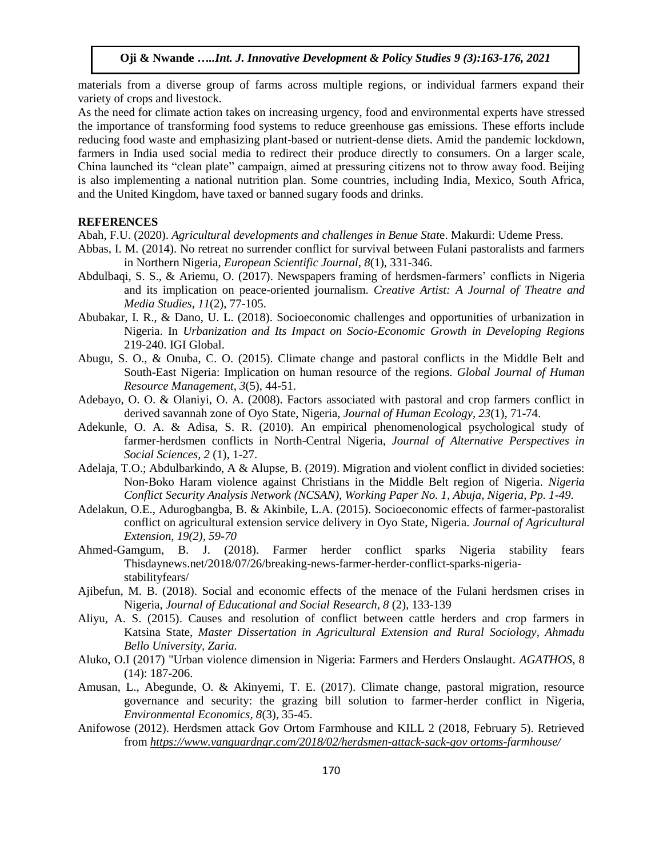materials from a diverse group of farms across multiple regions, or individual farmers expand their variety of crops and livestock.

As the need for climate action takes on increasing urgency, food and environmental experts have [stressed](https://www.unenvironment.org/news-and-stories/press-release/improved-climate-action-food-systems-can-deliver-20-percent-global)  [the importance](https://www.unenvironment.org/news-and-stories/press-release/improved-climate-action-food-systems-can-deliver-20-percent-global) of transforming food systems to reduce greenhouse gas emissions. These efforts include reducing food waste and emphasizing plant-based or nutrient-dense diets. Amid the pandemic lockdown, farmers in India used social media to [redirect their produce](https://www.dw.com/en/direct-selling-helps-indian-farmers-swerve-food-waste-under-lockdown/a-53559834) directly to consumers. On a larger scale, China launched its ["clean plate"](https://www.bbc.com/news/world-asia-china-53761295) campaign, aimed at pressuring citizens not to throw away food. Beijing is also implementing a national nutrition plan. Some countries, including India, Mexico, South Africa, and the United Kingdom, have taxed or banned sugary foods and drinks.

# **REFERENCES**

Abah, F.U. (2020). *Agricultural developments and challenges in Benue Stat*e. Makurdi: Udeme Press.

- Abbas, I. M. (2014). No retreat no surrender conflict for survival between Fulani pastoralists and farmers in Northern Nigeria, *European Scientific Journal, 8*(1), 331-346.
- Abdulbaqi, S. S., & Ariemu, O. (2017). Newspapers framing of herdsmen-farmers' conflicts in Nigeria and its implication on peace-oriented journalism. *Creative Artist: A Journal of Theatre and Media Studies*, *11*(2), 77-105.
- Abubakar, I. R., & Dano, U. L. (2018). Socioeconomic challenges and opportunities of urbanization in Nigeria. In *Urbanization and Its Impact on Socio-Economic Growth in Developing Regions*  219-240. IGI Global.
- Abugu, S. O., & Onuba, C. O. (2015). Climate change and pastoral conflicts in the Middle Belt and South-East Nigeria: Implication on human resource of the regions. *Global Journal of Human Resource Management*, *3*(5), 44-51.
- Adebayo, O. O. & Olaniyi, O. A. (2008). Factors associated with pastoral and crop farmers conflict in derived savannah zone of Oyo State, Nigeria, *Journal of Human Ecology, 23*(1), 71-74.
- Adekunle, O. A. & Adisa, S. R. (2010). An empirical phenomenological psychological study of farmer-herdsmen conflicts in North-Central Nigeria, *Journal of Alternative Perspectives in Social Sciences, 2* (1), 1-27.
- Adelaja, T.O.; Abdulbarkindo, A & Alupse, B. (2019). Migration and violent conflict in divided societies: Non-Boko Haram violence against Christians in the Middle Belt region of Nigeria. *Nigeria Conflict Security Analysis Network (NCSAN), Working Paper No. 1, Abuja, Nigeria, Pp. 1-49*.
- Adelakun, O.E., Adurogbangba, B. & Akinbile, L.A. (2015). Socioeconomic effects of farmer-pastoralist conflict on agricultural extension service delivery in Oyo State, Nigeria. *Journal of Agricultural Extension, 19(2), 59-70*
- Ahmed-Gamgum, B. J. (2018). Farmer herder conflict sparks Nigeria stability fears Thisdaynews.net/2018/07/26/breaking-news-farmer-herder-conflict-sparks-nigeriastabilityfears/
- Ajibefun, M. B. (2018). Social and economic effects of the menace of the Fulani herdsmen crises in Nigeria, *Journal of Educational and Social Research, 8* (2), 133-139
- Aliyu, A. S. (2015). Causes and resolution of conflict between cattle herders and crop farmers in Katsina State, *Master Dissertation in Agricultural Extension and Rural Sociology, Ahmadu Bello University, Zaria.*
- Aluko, O.I (2017) "Urban violence dimension in Nigeria: Farmers and Herders Onslaught. *AGATHOS*, 8 (14): 187-206.
- Amusan, L., Abegunde, O. & Akinyemi, T. E. (2017). Climate change, pastoral migration, resource governance and security: the grazing bill solution to farmer-herder conflict in Nigeria, *Environmental Economics, 8*(3), 35-45.
- Anifowose (2012). Herdsmen attack Gov Ortom Farmhouse and KILL 2 (2018, February 5). Retrieved from *[https://www.vanguardngr.com/2018/02/herdsmen-attack-sack-gov ortoms-f](https://www.vanguardngr.com/2018/02/herdsmen-attack-sack-gov%20ortoms-)armhouse/*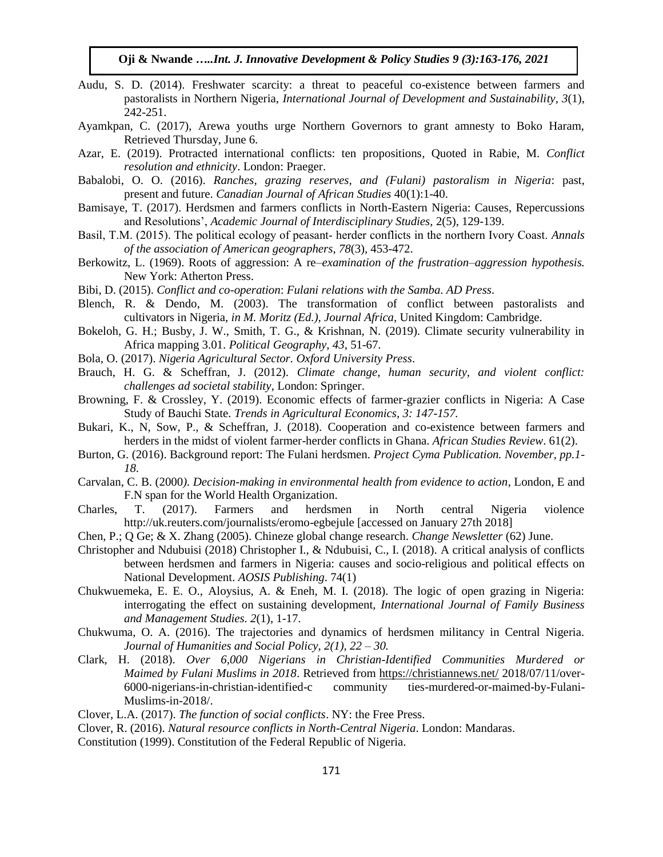- Audu, S. D. (2014). Freshwater scarcity: a threat to peaceful co-existence between farmers and pastoralists in Northern Nigeria, *International Journal of Development and Sustainability, 3*(1), 242-251.
- Ayamkpan, C. (2017), Arewa youths urge Northern Governors to grant amnesty to Boko Haram, Retrieved Thursday, June 6.
- Azar, E. (2019). Protracted international conflicts: ten propositions*,* Quoted in Rabie, M*. Conflict resolution and ethnicity*. London: Praeger.
- Babalobi, O. O. (2016). *Ranches, grazing reserves, and (Fulani) pastoralism in Nigeria*: past, present and future. *Canadian Journal of African Studies* 40(1):1-40.
- Bamisaye, T. (2017). Herdsmen and farmers conflicts in North-Eastern Nigeria: Causes, Repercussions and Resolutions', *Academic Journal of Interdisciplinary Studies,* 2(5), 129-139.
- Basil, T.M. (2015). The political ecology of peasant‐ herder conflicts in the northern Ivory Coast. *Annals of the association of American geographers*, *78*(3), 453-472.
- Berkowitz, L. (1969). Roots of aggression: A re*–examination of the frustration–aggression hypothesis.*  New York: Atherton Press.
- Bibi, D. (2015). *Conflict and co-operation*: *Fulani relations with the Samba*. *AD Press*.
- Blench, R. & Dendo, M. (2003). The transformation of conflict between pastoralists and cultivators in Nigeria, *in M. Moritz (Ed.), Journal Africa,* United Kingdom: Cambridge.
- Bokeloh, G. H.; Busby, J. W., Smith, T. G., & Krishnan, N. (2019). Climate security vulnerability in Africa mapping 3.01. *Political Geography*, *43*, 51-67.
- Bola, O. (2017). *Nigeria Agricultural Sector. Oxford University Press*.
- Brauch, H. G. & Scheffran, J. (2012)*. Climate change, human security, and violent conflict: challenges ad societal stability*, London: Springer.
- Browning, F. & Crossley, Y. (2019). Economic effects of farmer-grazier conflicts in Nigeria: A Case Study of Bauchi State. *Trends in Agricultural Economics, 3: 147-157.*
- Bukari, K., N, Sow, P., & Scheffran, J. (2018). Cooperation and co-existence between farmers and herders in the midst of violent farmer-herder conflicts in Ghana. *African Studies Review*. 61(2).
- Burton, G. (2016). Background report: The Fulani herdsmen. *Project Cyma Publication. November, pp.1- 18*.
- Carvalan, C. B. (2000*). Decision-making in environmental health from evidence to action*, London, E and F.N span for the World Health Organization.
- Charles, T. (2017). Farmers and herdsmen in North central Nigeria violence http://uk.reuters.com/journalists/eromo-egbejule [accessed on January 27th 2018]
- Chen, P.; Q Ge; & X. Zhang (2005). Chineze global change research. *Change Newsletter* (62) June.
- Christopher and Ndubuisi (2018) Christopher I., & Ndubuisi, C., I. (2018). A critical analysis of conflicts between herdsmen and farmers in Nigeria: causes and socio-religious and political effects on National Development. *AOSIS Publishing*. 74(1)
- Chukwuemeka, E. E. O., Aloysius, A. & Eneh, M. I. (2018). The logic of open grazing in Nigeria: interrogating the effect on sustaining development, *International Journal of Family Business and Management Studies. 2*(1), 1-17.
- Chukwuma, O. A. (2016). The trajectories and dynamics of herdsmen militancy in Central Nigeria. *Journal of Humanities and Social Policy, 2(1), 22 – 30.*
- Clark, H. (2018). *Over 6,000 Nigerians in Christian-Identified Communities Murdered or Maimed by Fulani Muslims in 2018*. Retrieved from<https://christiannews.net/> 2018/07/11/over-6000-nigerians-in-christian-identified-c community ties-murdered-or-maimed-by-Fulani-Muslims-in-2018/.
- Clover, L.A. (2017). *The function of social conflicts*. NY: the Free Press.
- Clover, R. (2016). *Natural resource conflicts in North-Central Nigeria*. London: Mandaras.
- Constitution (1999). Constitution of the Federal Republic of Nigeria.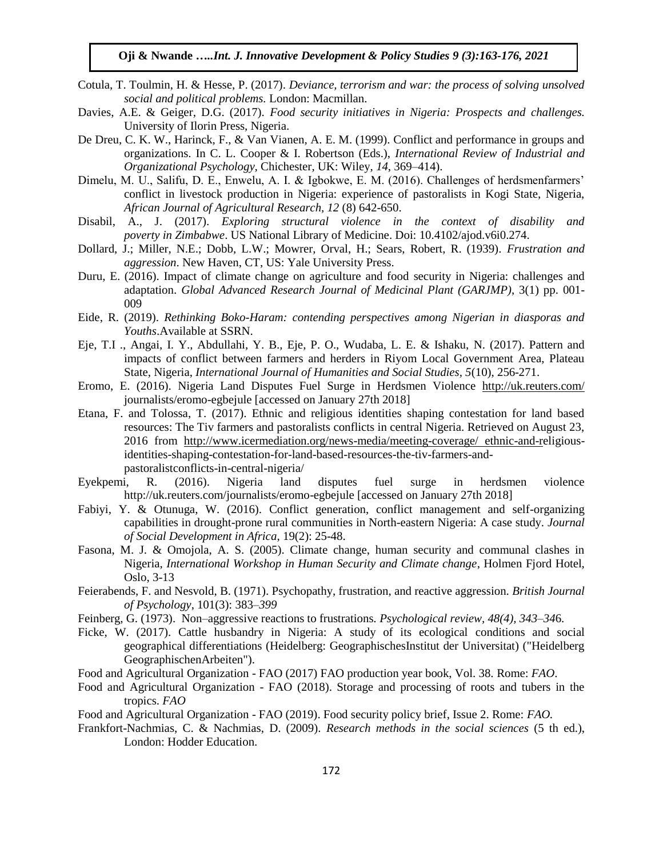- Cotula, T. Toulmin, H. & Hesse, P. (2017). *Deviance, terrorism and war: the process of solving unsolved social and political problems.* London: Macmillan.
- Davies, A.E. & Geiger, D.G. (2017). *Food security initiatives in Nigeria: Prospects and challenges.* University of Ilorin Press, Nigeria.
- De Dreu, C. K. W., Harinck, F., & Van Vianen, A. E. M. (1999). Conflict and performance in groups and organizations. In C. L. Cooper & I. Robertson (Eds.), *International Review of Industrial and Organizational Psychology,* Chichester, UK: Wiley, *14*, 369–414).
- Dimelu, M. U., Salifu, D. E., Enwelu, A. I. & Igbokwe, E. M. (2016). Challenges of herdsmenfarmers' conflict in livestock production in Nigeria: experience of pastoralists in Kogi State, Nigeria, *African Journal of Agricultural Research, 12* (8) 642-650.
- Disabil, A., J. (2017). *Exploring structural violence in the context of disability and poverty in Zimbabwe*. US National Library of Medicine. Doi: 10.4102/ajod.v6i0.274.
- Dollard, J.; Miller, N.E.; Dobb, L.W.; Mowrer, Orval, H.; Sears, Robert, R. (1939). *Frustration and aggression*. New Haven, CT, US: Yale University Press.
- Duru, E. (2016). Impact of climate change on agriculture and food security in Nigeria: challenges and adaptation. *Global Advanced Research Journal of Medicinal Plant (GARJMP)*, 3(1) pp. 001- 009
- Eide, R. (2019). *Rethinking Boko-Haram: contending perspectives among Nigerian in diasporas and Youths*.Available at SSRN.
- Eje, T.I ., Angai, I. Y., Abdullahi, Y. B., Eje, P. O., Wudaba, L. E. & Ishaku, N. (2017). Pattern and impacts of conflict between farmers and herders in Riyom Local Government Area, Plateau State, Nigeria, *International Journal of Humanities and Social Studies, 5*(10), 256-271.
- Eromo, E. (2016). Nigeria Land Disputes Fuel Surge in Herdsmen Violence <http://uk.reuters.com/> journalists/eromo-egbejule [accessed on January 27th 2018]
- Etana, F. and Tolossa, T. (2017). Ethnic and religious identities shaping contestation for land based resources: The Tiv farmers and pastoralists conflicts in central Nigeria. Retrieved on August 23, 2016 from [http://www.icermediation.org/news-media/meeting-coverage/ ethnic-and-re](http://www.icermediation.org/news-media/meeting-coverage/%20ethnic-and-r)ligiousidentities-shaping-contestation-for-land-based-resources-the-tiv-farmers-andpastoralistconflicts-in-central-nigeria/
- Eyekpemi, R. (2016). Nigeria land disputes fuel surge in herdsmen violence http://uk.reuters.com/journalists/eromo-egbejule [accessed on January 27th 2018]
- Fabiyi, Y. & Otunuga, W. (2016). Conflict generation, conflict management and self-organizing capabilities in drought-prone rural communities in North-eastern Nigeria: A case study. *Journal of Social Development in Africa*, 19(2): 25-48.
- Fasona, M. J. & Omojola, A. S. (2005). Climate change, human security and communal clashes in Nigeria, *International Workshop in Human Security and Climate change*, Holmen Fjord Hotel, Oslo, 3-13
- Feierabends, F. and Nesvold, B. (1971). Psychopathy, frustration, and reactive aggression. *British Journal of Psychology*, 101(3): 383*–399*
- Feinberg, G. (1973). Non–aggressive reactions to frustrations*. Psychological review, 48(4), 343–34*6.
- Ficke, W. (2017). Cattle husbandry in Nigeria: A study of its ecological conditions and social geographical differentiations (Heidelberg: GeographischesInstitut der Universitat) ("Heidelberg GeographischenArbeiten").
- Food and Agricultural Organization FAO (2017) FAO production year book, Vol. 38*.* Rome: *FAO*.
- Food and Agricultural Organization FAO (2018). Storage and processing of roots and tubers in the tropics. *FAO*
- Food and Agricultural Organization FAO (2019). Food security policy brief, Issue 2. Rome: *FAO.*
- Frankfort-Nachmias, C. & Nachmias, D. (2009). *Research methods in the social sciences* (5 th ed.), London: Hodder Education.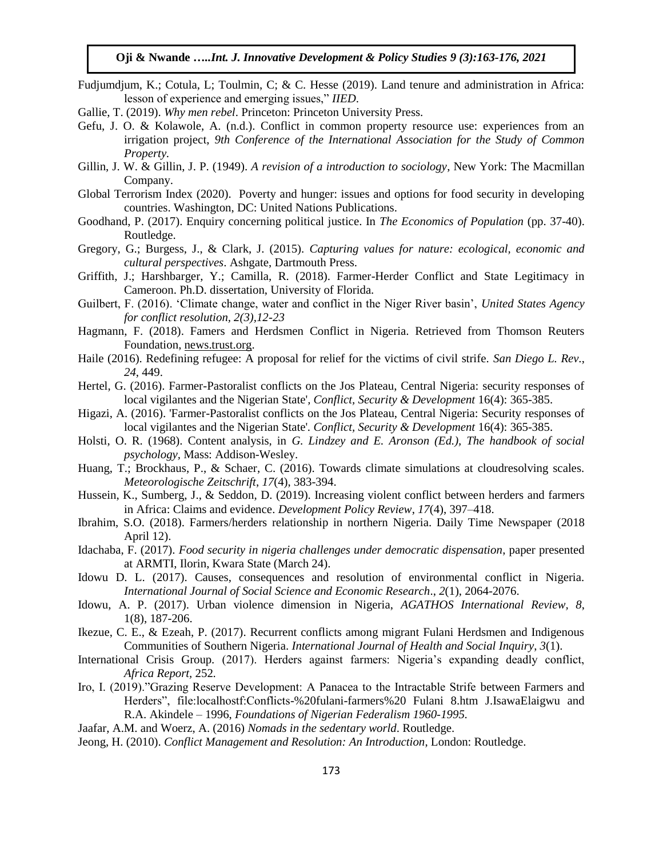- Fudjumdjum, K.; Cotula, L; Toulmin, C; & C. Hesse (2019). Land tenure and administration in Africa: lesson of experience and emerging issues," *IIED*.
- Gallie, T. (2019). *Why men rebel*. Princeton: Princeton University Press.
- Gefu, J. O. & Kolawole, A. (n.d.). Conflict in common property resource use: experiences from an irrigation project, *9th Conference of the International Association for the Study of Common Property.*
- Gillin, J. W. & Gillin, J. P. (1949). *A revision of a introduction to sociology*, New York: The Macmillan Company.
- Global Terrorism Index (2020). Poverty and hunger: issues and options for food security in developing countries. Washington, DC: United Nations Publications.
- Goodhand, P. (2017). Enquiry concerning political justice. In *The Economics of Population* (pp. 37-40). Routledge.
- Gregory, G.; Burgess, J., & Clark, J. (2015). *Capturing values for nature: ecological, economic and cultural perspectives*. Ashgate, Dartmouth Press.
- Griffith, J.; Harshbarger, Y.; Camilla, R. (2018). Farmer-Herder Conflict and State Legitimacy in Cameroon. Ph.D. dissertation, University of Florida.
- Guilbert, F. (2016). 'Climate change, water and conflict in the Niger River basin', *United States Agency for conflict resolution, 2(3),12-23*
- Hagmann, F. (2018). Famers and Herdsmen Conflict in Nigeria. Retrieved from Thomson Reuters Foundation, news.trust.org.
- Haile (2016). Redefining refugee: A proposal for relief for the victims of civil strife. *San Diego L. Rev.*, *24*, 449.
- Hertel, G. (2016). Farmer-Pastoralist conflicts on the Jos Plateau, Central Nigeria: security responses of local vigilantes and the Nigerian State'*, Conflict, Security & Development* 16(4): 365-385.
- Higazi, A. (2016). 'Farmer-Pastoralist conflicts on the Jos Plateau, Central Nigeria: Security responses of local vigilantes and the Nigerian State'*. Conflict, Security & Development* 16(4): 365-385.
- Holsti, O. R. (1968). Content analysis, in *G. Lindzey and E. Aronson (Ed.), The handbook of social psychology,* Mass: Addison-Wesley.
- Huang, T.; Brockhaus, P., & Schaer, C. (2016). Towards climate simulations at cloudresolving scales. *Meteorologische Zeitschrift*, *17*(4), 383-394.
- Hussein, K., Sumberg, J., & Seddon, D. (2019). Increasing violent conflict between herders and farmers in Africa: Claims and evidence. *Development Policy Review*, *17*(4), 397–418.
- Ibrahim, S.O. (2018). Farmers/herders relationship in northern Nigeria. Daily Time Newspaper (2018 April 12).
- Idachaba, F. (2017). *Food security in nigeria challenges under democratic dispensation*, paper presented at ARMTI, Ilorin, Kwara State (March 24).
- Idowu D. L. (2017). Causes, consequences and resolution of environmental conflict in Nigeria. *International Journal of Social Science and Economic Research*., *2*(1), 2064-2076.
- Idowu, A. P. (2017). Urban violence dimension in Nigeria, *AGATHOS International Review, 8*, 1(8), 187-206.
- Ikezue, C. E., & Ezeah, P. (2017). Recurrent conflicts among migrant Fulani Herdsmen and Indigenous Communities of Southern Nigeria. *International Journal of Health and Social Inquiry*, *3*(1).
- International Crisis Group*.* (2017). Herders against farmers: Nigeria's expanding deadly conflict, *Africa Report,* 252*.*
- Iro, I. (2019)."Grazing Reserve Development: A Panacea to the Intractable Strife between Farmers and Herders", file:localhostf:Conflicts-%20fulani-farmers%20 Fulani 8.htm J.IsawaElaigwu and R.A. Akindele – 1996, *Foundations of Nigerian Federalism 1960-1995.*
- Jaafar, A.M. and Woerz, A. (2016) *Nomads in the sedentary world*. Routledge.

Jeong, H. (2010). *Conflict Management and Resolution: An Introduction*, London: Routledge.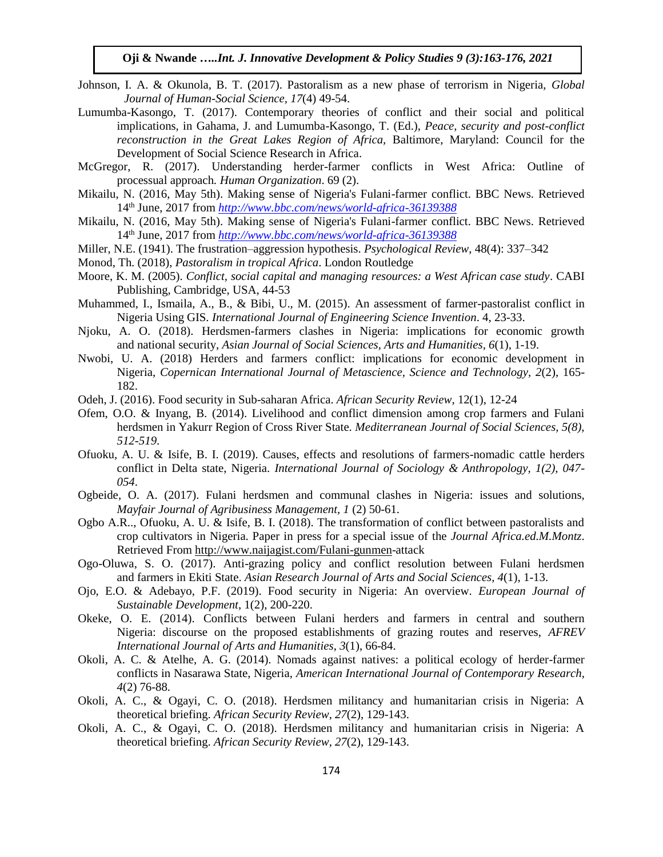- Johnson, I. A. & Okunola, B. T. (2017). Pastoralism as a new phase of terrorism in Nigeria, *Global Journal of Human-Social Science, 17*(4) 49-54.
- Lumumba-Kasongo, T. (2017). Contemporary theories of conflict and their social and political implications, in Gahama, J. and Lumumba-Kasongo, T. (Ed.), *Peace, security and post-conflict reconstruction in the Great Lakes Region of Africa,* Baltimore, Maryland: Council for the Development of Social Science Research in Africa.
- McGregor, R. (2017). Understanding herder-farmer conflicts in West Africa: Outline of processual approach*. Human Organization*. 69 (2).
- Mikailu, N. (2016, May 5th). Making sense of Nigeria's Fulani-farmer conflict. BBC News. Retrieved 14th June, 2017 from *<http://www.bbc.com/news/world-africa-36139388>*
- Mikailu, N. (2016, May 5th). Making sense of Nigeria's Fulani-farmer conflict. BBC News. Retrieved 14th June, 2017 from *<http://www.bbc.com/news/world-africa-36139388>*
- Miller, N.E. (1941). The frustration–aggression hypothesis. *Psychological Review*, 48(4): 337–342
- Monod, Th. (2018), *Pastoralism in tropical Africa*. London Routledge
- Moore, K. M. (2005). *Conflict, social capital and managing resources: a West African case study*. CABI Publishing, Cambridge, USA, 44-53
- Muhammed, I., Ismaila, A., B., & Bibi, U., M. (2015). An assessment of farmer-pastoralist conflict in Nigeria Using GIS. *International Journal of Engineering Science Invention*. 4, 23-33.
- Njoku, A. O. (2018). Herdsmen-farmers clashes in Nigeria: implications for economic growth and national security, *Asian Journal of Social Sciences, Arts and Humanities, 6*(1), 1-19.
- Nwobi, U. A. (2018) Herders and farmers conflict: implications for economic development in Nigeria, *Copernican International Journal of Metascience, Science and Technology, 2*(2), 165- 182.
- Odeh, J. (2016). Food security in Sub-saharan Africa. *African Security Review*, 12(1), 12-24
- Ofem, O.O. & Inyang, B. (2014). Livelihood and conflict dimension among crop farmers and Fulani herdsmen in Yakurr Region of Cross River State. *Mediterranean Journal of Social Sciences, 5(8), 512-519*.
- Ofuoku, A. U. & Isife, B. I. (2019). Causes, effects and resolutions of farmers-nomadic cattle herders conflict in Delta state, Nigeria. *International Journal of Sociology & Anthropology, 1(2), 047- 054*.
- Ogbeide, O. A. (2017). Fulani herdsmen and communal clashes in Nigeria: issues and solutions, *Mayfair Journal of Agribusiness Management, 1* (2) 50-61.
- Ogbo A.R.., Ofuoku, A. U. & Isife, B. I. (2018). The transformation of conflict between pastoralists and crop cultivators in Nigeria. Paper in press for a special issue of the *Journal Africa.ed.M.Montz*. Retrieved From [http://www.naijagist.com/Fulani-gunmen-](http://www.naijagist.com/Fulani-gunmen)attack
- Ogo-Oluwa, S. O. (2017). Anti-grazing policy and conflict resolution between Fulani herdsmen and farmers in Ekiti State. *Asian Research Journal of Arts and Social Sciences, 4*(1), 1-13.
- Ojo, E.O. & Adebayo, P.F. (2019). Food security in Nigeria: An overview. *European Journal of Sustainable Development*, 1(2), 200-220.
- Okeke, O. E. (2014). Conflicts between Fulani herders and farmers in central and southern Nigeria: discourse on the proposed establishments of grazing routes and reserves, *AFREV International Journal of Arts and Humanities*, *3*(1), 66-84.
- Okoli, A. C. & Atelhe, A. G. (2014). Nomads against natives: a political ecology of herder-farmer conflicts in Nasarawa State, Nigeria, *American International Journal of Contemporary Research, 4*(2) 76-88.
- Okoli, A. C., & Ogayi, C. O. (2018). Herdsmen militancy and humanitarian crisis in Nigeria: A theoretical briefing. *African Security Review*, *27*(2), 129-143.
- Okoli, A. C., & Ogayi, C. O. (2018). Herdsmen militancy and humanitarian crisis in Nigeria: A theoretical briefing. *African Security Review*, *27*(2), 129-143.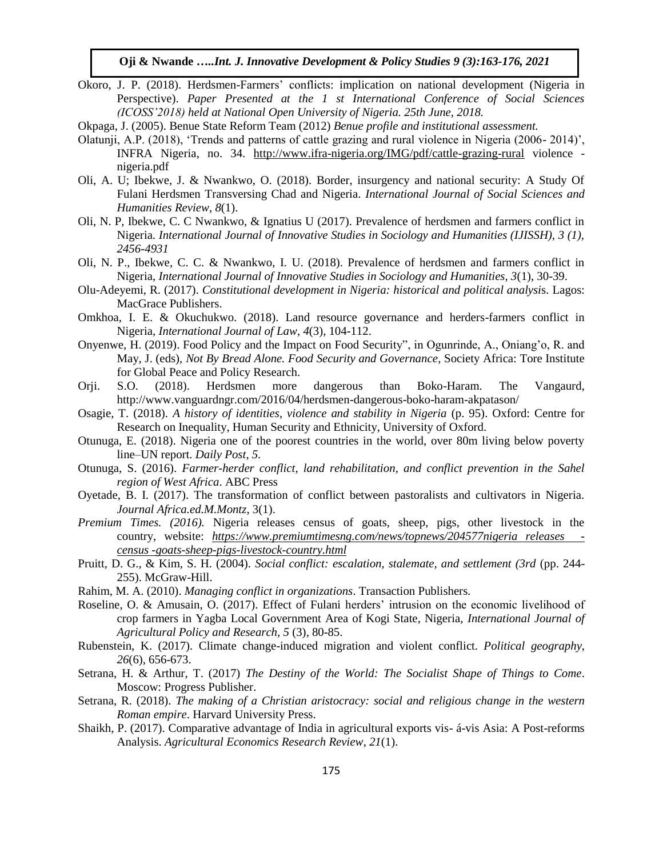Okoro, J. P. (2018). Herdsmen-Farmers' conflicts: implication on national development (Nigeria in Perspective). *Paper Presented at the 1 st International Conference of Social Sciences (ICOSS'2018) held at National Open University of Nigeria. 25th June, 2018.*

Okpaga, J. (2005). Benue State Reform Team (2012) *Benue profile and institutional assessment.*

- Olatunji, A.P. (2018), 'Trends and patterns of cattle grazing and rural violence in Nigeria (2006- 2014)', INFRA Nigeria, no. 34. <http://www.ifra-nigeria.org/IMG/pdf/cattle-grazing-rural> violence nigeria.pdf
- Oli, A. U; Ibekwe, J. & Nwankwo, O. (2018). Border, insurgency and national security: A Study Of Fulani Herdsmen Transversing Chad and Nigeria. *International Journal of Social Sciences and Humanities Review*, *8*(1).
- Oli, N. P, Ibekwe, C. C Nwankwo, & Ignatius U (2017). Prevalence of herdsmen and farmers conflict in Nigeria*. International Journal of Innovative Studies in Sociology and Humanities (IJISSH), 3 (1), 2456-4931*
- Oli, N. P., Ibekwe, C. C. & Nwankwo, I. U. (2018). Prevalence of herdsmen and farmers conflict in Nigeria, *International Journal of Innovative Studies in Sociology and Humanities, 3*(1), 30-39.
- Olu-Adeyemi, R. (2017). *Constitutional development in Nigeria: historical and political analysi*s. Lagos: MacGrace Publishers.
- Omkhoa, I. E. & Okuchukwo. (2018). Land resource governance and herders-farmers conflict in Nigeria, *International Journal of Law*, *4*(3), 104-112.
- Onyenwe, H. (2019). Food Policy and the Impact on Food Security", in Ogunrinde, A., Oniang'o, R. and May, J. (eds), *Not By Bread Alone. Food Security and Governance*, Society Africa: Tore Institute for Global Peace and Policy Research.
- Orji. S.O. (2018). Herdsmen more dangerous than Boko-Haram. The Vangaurd, http://www.vanguardngr.com/2016/04/herdsmen-dangerous-boko-haram-akpatason/
- Osagie, T. (2018). *A history of identities, violence and stability in Nigeria* (p. 95). Oxford: Centre for Research on Inequality, Human Security and Ethnicity, University of Oxford.
- Otunuga, E. (2018). Nigeria one of the poorest countries in the world, over 80m living below poverty line–UN report. *Daily Post*, *5*.
- Otunuga, S. (2016). *Farmer-herder conflict, land rehabilitation, and conflict prevention in the Sahel region of West Africa*. ABC Press
- Oyetade, B. I. (2017). The transformation of conflict between pastoralists and cultivators in Nigeria. *Journal Africa.ed.M.Montz*, 3(1).
- *Premium Times. (2016).* Nigeria releases census of goats, sheep, pigs, other livestock in the country, website: *[https://www.premiumtimesng.com/news/topnews/204577nigeria releases](https://www.premiumtimesng.com/news/topnews/204577nigeria%20releases%20%20-census%20-goats-sheep-pigs-livestock-country.html)  [census -goats-sheep-pigs-livestock-country.html](https://www.premiumtimesng.com/news/topnews/204577nigeria%20releases%20%20-census%20-goats-sheep-pigs-livestock-country.html)*
- Pruitt, D. G., & Kim, S. H. (2004). *Social conflict: escalation, stalemate, and settlement (3rd* (pp. 244- 255). McGraw-Hill.
- Rahim, M. A. (2010). *Managing conflict in organizations*. Transaction Publishers.
- Roseline, O. & Amusain, O. (2017). Effect of Fulani herders' intrusion on the economic livelihood of crop farmers in Yagba Local Government Area of Kogi State, Nigeria, *International Journal of Agricultural Policy and Research, 5* (3), 80-85.
- Rubenstein, K. (2017). Climate change-induced migration and violent conflict. *Political geography*, *26*(6), 656-673.
- Setrana, H. & Arthur, T. (2017) *The Destiny of the World: The Socialist Shape of Things to Come*. Moscow: Progress Publisher.
- Setrana, R. (2018). *The making of a Christian aristocracy: social and religious change in the western Roman empire*. Harvard University Press.
- Shaikh, P. (2017). Comparative advantage of India in agricultural exports vis- á-vis Asia: A Post-reforms Analysis. *Agricultural Economics Research Review*, *21*(1).